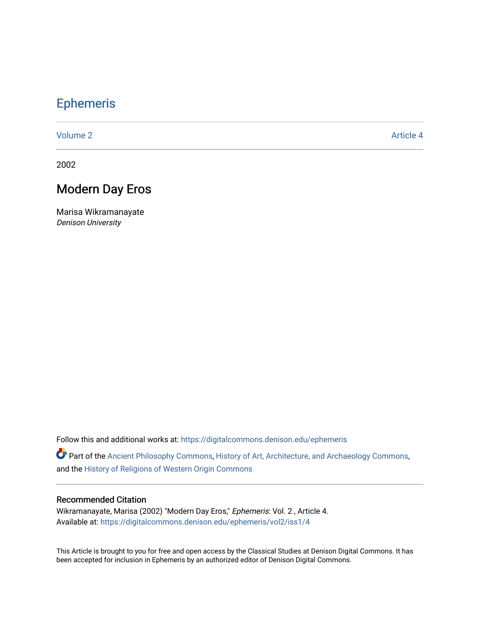## [Ephemeris](https://digitalcommons.denison.edu/ephemeris)

[Volume 2](https://digitalcommons.denison.edu/ephemeris/vol2) Article 4

2002

## Modern Day Eros

Marisa Wikramanayate Denison University

Follow this and additional works at: [https://digitalcommons.denison.edu/ephemeris](https://digitalcommons.denison.edu/ephemeris?utm_source=digitalcommons.denison.edu%2Fephemeris%2Fvol2%2Fiss1%2F4&utm_medium=PDF&utm_campaign=PDFCoverPages) 

Part of the [Ancient Philosophy Commons](http://network.bepress.com/hgg/discipline/448?utm_source=digitalcommons.denison.edu%2Fephemeris%2Fvol2%2Fiss1%2F4&utm_medium=PDF&utm_campaign=PDFCoverPages), [History of Art, Architecture, and Archaeology Commons](http://network.bepress.com/hgg/discipline/510?utm_source=digitalcommons.denison.edu%2Fephemeris%2Fvol2%2Fiss1%2F4&utm_medium=PDF&utm_campaign=PDFCoverPages), and the [History of Religions of Western Origin Commons](http://network.bepress.com/hgg/discipline/542?utm_source=digitalcommons.denison.edu%2Fephemeris%2Fvol2%2Fiss1%2F4&utm_medium=PDF&utm_campaign=PDFCoverPages)

## Recommended Citation

Wikramanayate, Marisa (2002) "Modern Day Eros," Ephemeris: Vol. 2 , Article 4. Available at: [https://digitalcommons.denison.edu/ephemeris/vol2/iss1/4](https://digitalcommons.denison.edu/ephemeris/vol2/iss1/4?utm_source=digitalcommons.denison.edu%2Fephemeris%2Fvol2%2Fiss1%2F4&utm_medium=PDF&utm_campaign=PDFCoverPages)

This Article is brought to you for free and open access by the Classical Studies at Denison Digital Commons. It has been accepted for inclusion in Ephemeris by an authorized editor of Denison Digital Commons.